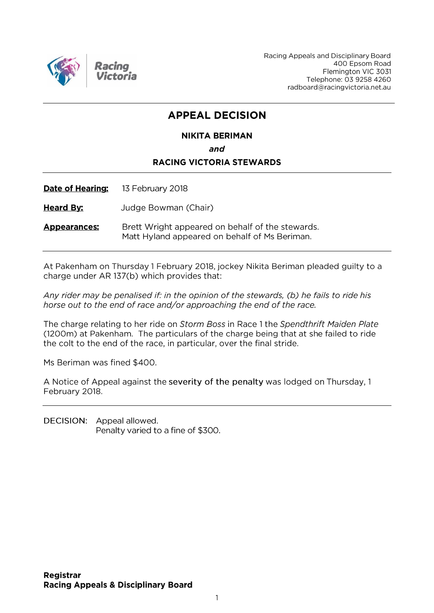

Racing Appeals and Disciplinary Board 400 Epsom Road Flemington VIC 3031 Telephone: 03 9258 4260 radboard@racingvictoria.net.au

## **APPEAL DECISION**

#### **NIKITA BERIMAN**

and

#### **RACING VICTORIA STEWARDS**

**Date of Hearing:** 13 February 2018

**Heard By:** Judge Bowman (Chair)

Brett Wright appeared on behalf of the stewards. **Appearances:** Matt Hyland appeared on behalf of Ms Beriman.

At Pakenham on Thursday 1 February 2018, jockey Nikita Beriman pleaded guilty to a charge under AR 137(b) which provides that:

Any rider may be penalised if: in the opinion of the stewards, (b) he fails to ride his horse out to the end of race and/or approaching the end of the race.

The charge relating to her ride on Storm Boss in Race 1 the Spendthrift Maiden Plate (1200m) at Pakenham. The particulars of the charge being that at she failed to ride the colt to the end of the race, in particular, over the final stride.

Ms Beriman was fined \$400.

A Notice of Appeal against the severity of the penalty was lodged on Thursday, 1 February 2018.

DECISION: Appeal allowed. Penalty varied to a fine of \$300.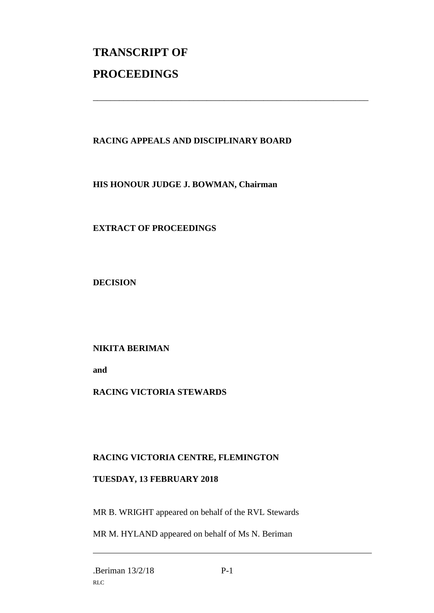# **TRANSCRIPT OF PROCEEDINGS**

#### **RACING APPEALS AND DISCIPLINARY BOARD**

\_\_\_\_\_\_\_\_\_\_\_\_\_\_\_\_\_\_\_\_\_\_\_\_\_\_\_\_\_\_\_\_\_\_\_\_\_\_\_\_\_\_\_\_\_\_\_\_\_\_\_\_\_\_\_\_\_\_\_\_\_\_\_

**HIS HONOUR JUDGE J. BOWMAN, Chairman**

**EXTRACT OF PROCEEDINGS**

**DECISION**

#### **NIKITA BERIMAN**

**and** 

#### **RACING VICTORIA STEWARDS**

### **RACING VICTORIA CENTRE, FLEMINGTON**

#### **TUESDAY, 13 FEBRUARY 2018**

MR B. WRIGHT appeared on behalf of the RVL Stewards

MR M. HYLAND appeared on behalf of Ms N. Beriman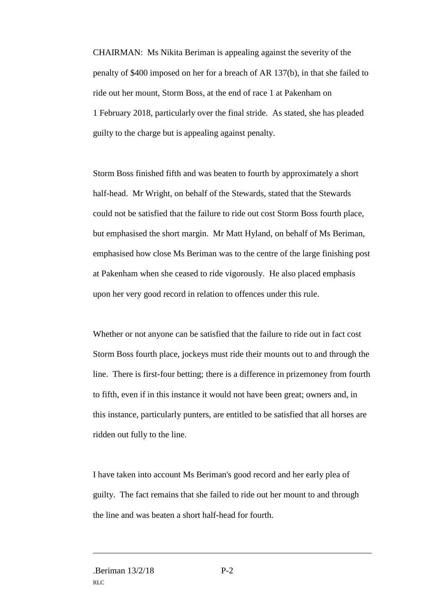CHAIRMAN: Ms Nikita Beriman is appealing against the severity of the penalty of \$400 imposed on her for a breach of AR 137(b), in that she failed to ride out her mount, Storm Boss, at the end of race 1 at Pakenham on 1 February 2018, particularly over the final stride. As stated, she has pleaded guilty to the charge but is appealing against penalty.

Storm Boss finished fifth and was beaten to fourth by approximately a short half-head. Mr Wright, on behalf of the Stewards, stated that the Stewards could not be satisfied that the failure to ride out cost Storm Boss fourth place, but emphasised the short margin. Mr Matt Hyland, on behalf of Ms Beriman, emphasised how close Ms Beriman was to the centre of the large finishing post at Pakenham when she ceased to ride vigorously. He also placed emphasis upon her very good record in relation to offences under this rule.

Whether or not anyone can be satisfied that the failure to ride out in fact cost Storm Boss fourth place, jockeys must ride their mounts out to and through the line. There is first-four betting; there is a difference in prizemoney from fourth to fifth, even if in this instance it would not have been great; owners and, in this instance, particularly punters, are entitled to be satisfied that all horses are ridden out fully to the line.

I have taken into account Ms Beriman's good record and her early plea of guilty. The fact remains that she failed to ride out her mount to and through the line and was beaten a short half-head for fourth.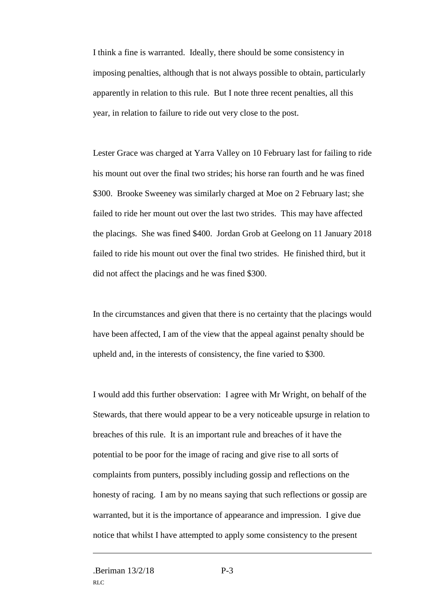I think a fine is warranted. Ideally, there should be some consistency in imposing penalties, although that is not always possible to obtain, particularly apparently in relation to this rule. But I note three recent penalties, all this year, in relation to failure to ride out very close to the post.

Lester Grace was charged at Yarra Valley on 10 February last for failing to ride his mount out over the final two strides; his horse ran fourth and he was fined \$300. Brooke Sweeney was similarly charged at Moe on 2 February last; she failed to ride her mount out over the last two strides. This may have affected the placings. She was fined \$400. Jordan Grob at Geelong on 11 January 2018 failed to ride his mount out over the final two strides. He finished third, but it did not affect the placings and he was fined \$300.

In the circumstances and given that there is no certainty that the placings would have been affected, I am of the view that the appeal against penalty should be upheld and, in the interests of consistency, the fine varied to \$300.

I would add this further observation: I agree with Mr Wright, on behalf of the Stewards, that there would appear to be a very noticeable upsurge in relation to breaches of this rule. It is an important rule and breaches of it have the potential to be poor for the image of racing and give rise to all sorts of complaints from punters, possibly including gossip and reflections on the honesty of racing. I am by no means saying that such reflections or gossip are warranted, but it is the importance of appearance and impression. I give due notice that whilst I have attempted to apply some consistency to the present